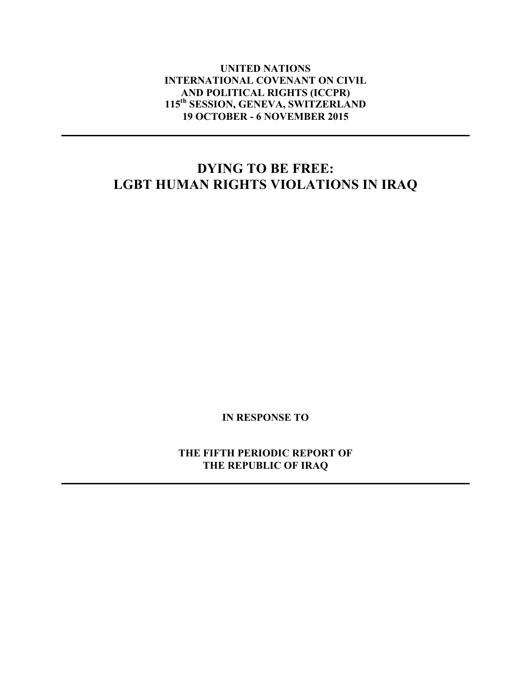### **UNITED NATIONS INTERNATIONAL COVENANT ON CIVIL AND POLITICAL RIGHTS (ICCPR) 115th SESSION, GENEVA, SWITZERLAND 19 OCTOBER - 6 NOVEMBER 2015**

# **DYING TO BE FREE: LGBT HUMAN RIGHTS VIOLATIONS IN IRAQ**

**IN RESPONSE TO** 

**THE FIFTH PERIODIC REPORT OF THE REPUBLIC OF IRAQ**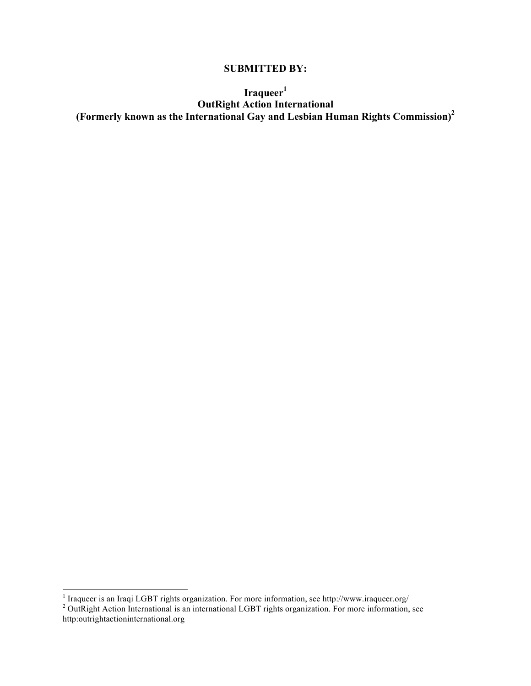# **SUBMITTED BY:**

# **Iraqueer1 OutRight Action International (Formerly known as the International Gay and Lesbian Human Rights Commission) 2**

<sup>&</sup>lt;sup>1</sup> Iraqueer is an Iraqi LGBT rights organization. For more information, see http://www.iraqueer.org/ <sup>2</sup> OutRight Action International is an international LGBT rights organization. For more information, see http:outrightactioninternational.org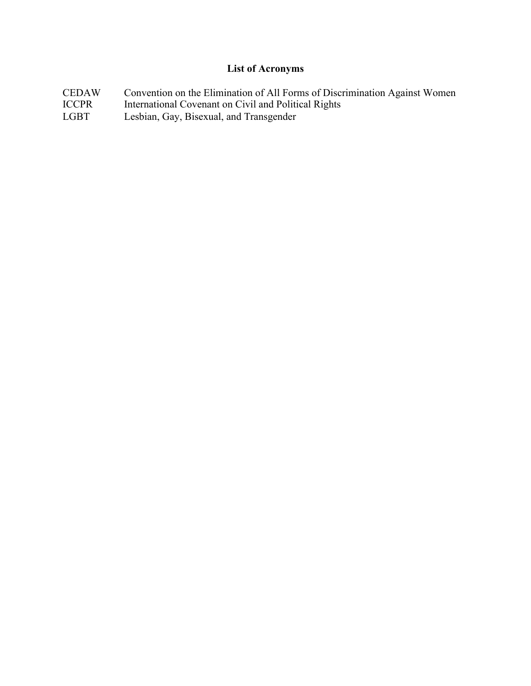# **List of Acronyms**

CEDAW Convention on the Elimination of All Forms of Discrimination Against Women ICCPR International Covenant on Civil and Political Rights LGBT Lesbian, Gay, Bisexual, and Transgender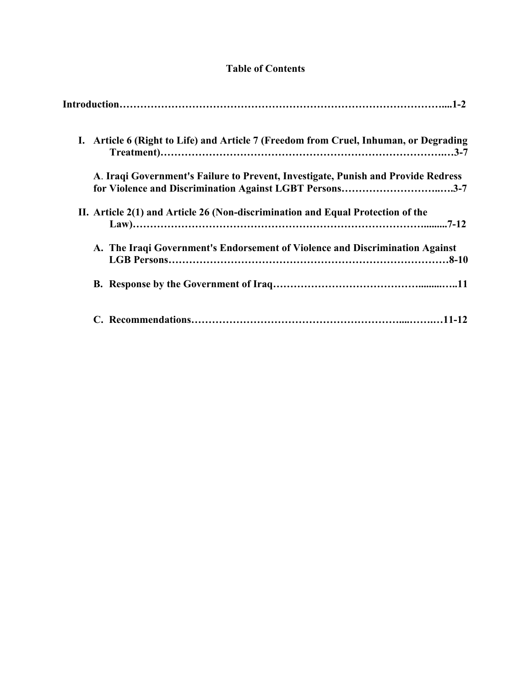# **Table of Contents**

|  | I. Article 6 (Right to Life) and Article 7 (Freedom from Cruel, Inhuman, or Degrading                                                        |
|--|----------------------------------------------------------------------------------------------------------------------------------------------|
|  | A. Iraqi Government's Failure to Prevent, Investigate, Punish and Provide Redress<br>for Violence and Discrimination Against LGBT Persons3-7 |
|  | II. Article 2(1) and Article 26 (Non-discrimination and Equal Protection of the                                                              |
|  | A. The Iraqi Government's Endorsement of Violence and Discrimination Against                                                                 |
|  |                                                                                                                                              |
|  |                                                                                                                                              |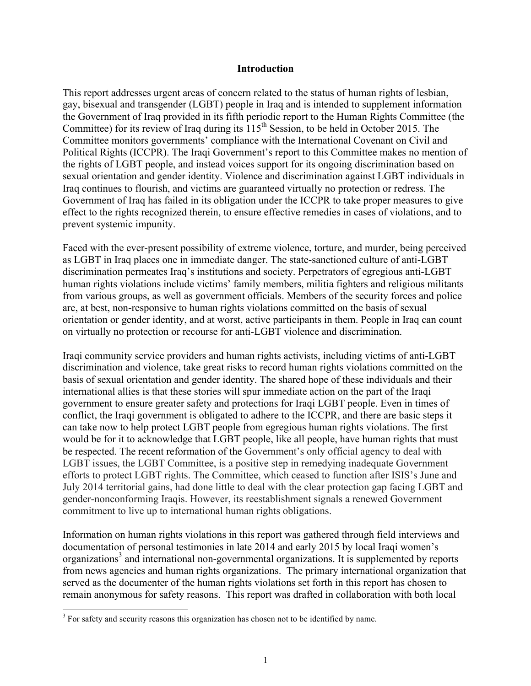#### **Introduction**

This report addresses urgent areas of concern related to the status of human rights of lesbian, gay, bisexual and transgender (LGBT) people in Iraq and is intended to supplement information the Government of Iraq provided in its fifth periodic report to the Human Rights Committee (the Committee) for its review of Iraq during its  $115<sup>th</sup>$  Session, to be held in October 2015. The Committee monitors governments' compliance with the International Covenant on Civil and Political Rights (ICCPR). The Iraqi Government's report to this Committee makes no mention of the rights of LGBT people, and instead voices support for its ongoing discrimination based on sexual orientation and gender identity. Violence and discrimination against LGBT individuals in Iraq continues to flourish, and victims are guaranteed virtually no protection or redress. The Government of Iraq has failed in its obligation under the ICCPR to take proper measures to give effect to the rights recognized therein, to ensure effective remedies in cases of violations, and to prevent systemic impunity.

Faced with the ever-present possibility of extreme violence, torture, and murder, being perceived as LGBT in Iraq places one in immediate danger. The state-sanctioned culture of anti-LGBT discrimination permeates Iraq's institutions and society. Perpetrators of egregious anti-LGBT human rights violations include victims' family members, militia fighters and religious militants from various groups, as well as government officials. Members of the security forces and police are, at best, non-responsive to human rights violations committed on the basis of sexual orientation or gender identity, and at worst, active participants in them. People in Iraq can count on virtually no protection or recourse for anti-LGBT violence and discrimination.

Iraqi community service providers and human rights activists, including victims of anti-LGBT discrimination and violence, take great risks to record human rights violations committed on the basis of sexual orientation and gender identity. The shared hope of these individuals and their international allies is that these stories will spur immediate action on the part of the Iraqi government to ensure greater safety and protections for Iraqi LGBT people. Even in times of conflict, the Iraqi government is obligated to adhere to the ICCPR, and there are basic steps it can take now to help protect LGBT people from egregious human rights violations. The first would be for it to acknowledge that LGBT people, like all people, have human rights that must be respected. The recent reformation of the Government's only official agency to deal with LGBT issues, the LGBT Committee, is a positive step in remedying inadequate Government efforts to protect LGBT rights. The Committee, which ceased to function after ISIS's June and July 2014 territorial gains, had done little to deal with the clear protection gap facing LGBT and gender-nonconforming Iraqis. However, its reestablishment signals a renewed Government commitment to live up to international human rights obligations.

Information on human rights violations in this report was gathered through field interviews and documentation of personal testimonies in late 2014 and early 2015 by local Iraqi women's organizations<sup>3</sup> and international non-governmental organizations. It is supplemented by reports from news agencies and human rights organizations. The primary international organization that served as the documenter of the human rights violations set forth in this report has chosen to remain anonymous for safety reasons. This report was drafted in collaboration with both local

<sup>&</sup>lt;sup>3</sup> For safety and security reasons this organization has chosen not to be identified by name.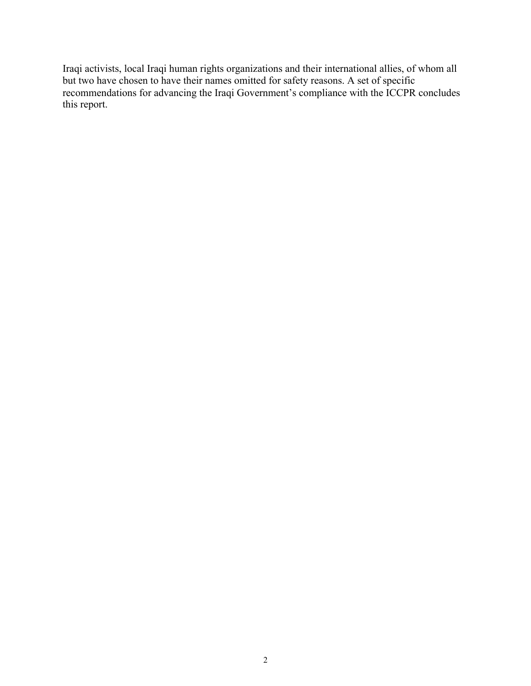Iraqi activists, local Iraqi human rights organizations and their international allies, of whom all but two have chosen to have their names omitted for safety reasons. A set of specific recommendations for advancing the Iraqi Government's compliance with the ICCPR concludes this report.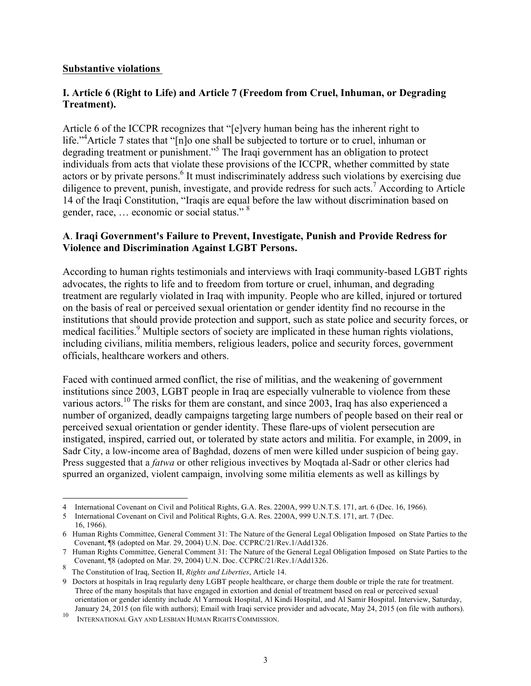#### **Substantive violations**

# **I. Article 6 (Right to Life) and Article 7 (Freedom from Cruel, Inhuman, or Degrading Treatment).**

Article 6 of the ICCPR recognizes that "[e]very human being has the inherent right to life."<sup>4</sup> Article 7 states that "[n]o one shall be subjected to torture or to cruel, inhuman or degrading treatment or punishment."<sup>5</sup> The Iraqi government has an obligation to protect individuals from acts that violate these provisions of the ICCPR, whether committed by state actors or by private persons.<sup>6</sup> It must indiscriminately address such violations by exercising due diligence to prevent, punish, investigate, and provide redress for such acts.<sup>7</sup> According to Article 14 of the Iraqi Constitution, "Iraqis are equal before the law without discrimination based on gender, race, … economic or social status." <sup>8</sup>

### **A**. **Iraqi Government's Failure to Prevent, Investigate, Punish and Provide Redress for Violence and Discrimination Against LGBT Persons.**

According to human rights testimonials and interviews with Iraqi community-based LGBT rights advocates, the rights to life and to freedom from torture or cruel, inhuman, and degrading treatment are regularly violated in Iraq with impunity. People who are killed, injured or tortured on the basis of real or perceived sexual orientation or gender identity find no recourse in the institutions that should provide protection and support, such as state police and security forces, or medical facilities.<sup>9</sup> Multiple sectors of society are implicated in these human rights violations, including civilians, militia members, religious leaders, police and security forces, government officials, healthcare workers and others.

Faced with continued armed conflict, the rise of militias, and the weakening of government institutions since 2003, LGBT people in Iraq are especially vulnerable to violence from these various actors.<sup>10</sup> The risks for them are constant, and since 2003, Iraq has also experienced a number of organized, deadly campaigns targeting large numbers of people based on their real or perceived sexual orientation or gender identity. These flare-ups of violent persecution are instigated, inspired, carried out, or tolerated by state actors and militia. For example, in 2009, in Sadr City, a low-income area of Baghdad, dozens of men were killed under suspicion of being gay. Press suggested that a *fatwa* or other religious invectives by Moqtada al-Sadr or other clerics had spurred an organized, violent campaign, involving some militia elements as well as killings by

<sup>1</sup> 4 International Covenant on Civil and Political Rights, G.A. Res. 2200A, 999 U.N.T.S. 171, art. 6 (Dec. 16, 1966).

<sup>5</sup> International Covenant on Civil and Political Rights, G.A. Res. 2200A, 999 U.N.T.S. 171, art. 7 (Dec. 16, 1966).

<sup>6</sup> Human Rights Committee, General Comment 31: The Nature of the General Legal Obligation Imposed on State Parties to the Covenant, ¶8 (adopted on Mar. 29, 2004) U.N. Doc. CCPRC/21/Rev.1/Add1326.

<sup>7</sup> Human Rights Committee, General Comment 31: The Nature of the General Legal Obligation Imposed on State Parties to the Covenant, ¶8 (adopted on Mar. 29, 2004) U.N. Doc. CCPRC/21/Rev.1/Add1326.

<sup>8</sup> The Constitution of Iraq, Section II, *Rights and Liberties*, Article 14.

<sup>9</sup> Doctors at hospitals in Iraq regularly deny LGBT people healthcare, or charge them double or triple the rate for treatment. Three of the many hospitals that have engaged in extortion and denial of treatment based on real or perceived sexual orientation or gender identity include Al Yarmouk Hospital, Al Kindi Hospital, and Al Samir Hospital. Interview, Saturday, January 24, 2015 (on file with authors); Email with Iraqi service provider and advocate, May 24, 2015 (on file with authors).<br><sup>10</sup> INTERNATIONAL GAY AND LESBIAN HUMAN RIGHTS COMMISSION.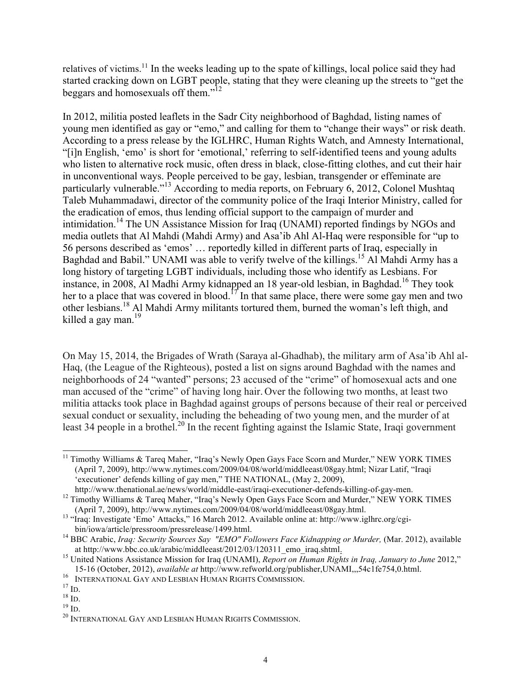relatives of victims.<sup>11</sup> In the weeks leading up to the spate of killings, local police said they had started cracking down on LGBT people, stating that they were cleaning up the streets to "get the beggars and homosexuals off them."<sup>12</sup>

In 2012, militia posted leaflets in the Sadr City neighborhood of Baghdad, listing names of young men identified as gay or "emo," and calling for them to "change their ways" or risk death. According to a press release by the IGLHRC, Human Rights Watch, and Amnesty International, "[i]n English, 'emo' is short for 'emotional,' referring to self-identified teens and young adults who listen to alternative rock music, often dress in black, close-fitting clothes, and cut their hair in unconventional ways. People perceived to be gay, lesbian, transgender or effeminate are particularly vulnerable."<sup>13</sup> According to media reports, on February 6, 2012, Colonel Mushtaq Taleb Muhammadawi, director of the community police of the Iraqi Interior Ministry, called for the eradication of emos, thus lending official support to the campaign of murder and intimidation. <sup>14</sup> The UN Assistance Mission for Iraq (UNAMI) reported findings by NGOs and media outlets that Al Mahdi (Mahdi Army) and Asa'ib Ahl Al-Haq were responsible for "up to 56 persons described as 'emos' … reportedly killed in different parts of Iraq, especially in Baghdad and Babil." UNAMI was able to verify twelve of the killings.<sup>15</sup> Al Mahdi Army has a long history of targeting LGBT individuals, including those who identify as Lesbians. For instance, in 2008, Al Madhi Army kidnapped an 18 year-old lesbian, in Baghdad.<sup>16</sup> They took her to a place that was covered in blood.<sup>17</sup> In that same place, there were some gay men and two other lesbians.<sup>18</sup> Al Mahdi Army militants tortured them, burned the woman's left thigh, and killed a gay man. $19$ 

On May 15, 2014, the Brigades of Wrath (Saraya al-Ghadhab), the military arm of Asa'ib Ahl al-Haq, (the League of the Righteous), posted a list on signs around Baghdad with the names and neighborhoods of 24 "wanted" persons; 23 accused of the "crime" of homosexual acts and one man accused of the "crime" of having long hair. Over the following two months, at least two militia attacks took place in Baghdad against groups of persons because of their real or perceived sexual conduct or sexuality, including the beheading of two young men, and the murder of at least 34 people in a brothel.<sup>20</sup> In the recent fighting against the Islamic State, Iraqi government

<sup>&</sup>lt;sup>11</sup> Timothy Williams & Tareq Maher, "Iraq's Newly Open Gays Face Scorn and Murder," NEW YORK TIMES (April 7, 2009), http://www.nytimes.com/2009/04/08/world/middleeast/08gay.html; Nizar Latif, "Iraqi 'executioner' defends killing of gay men," THE NATIONAL, (May 2, 2009),

<sup>&</sup>lt;sup>12</sup> Timothy Williams & Tareq Maher, "Iraq's Newly Open Gays Face Scorn and Murder," NEW YORK TIMES (April 7, 2009), http://www.nytimes.com/2009/04/08/world/middleeast/08gay.html.

<sup>&</sup>lt;sup>13</sup> "Iraq: Investigate 'Emo' Attacks," 16 March 2012. Available online at: http://www.iglhrc.org/cgi-<br>bin/iowa/article/pressroom/pressrelease/1499.html.

<sup>&</sup>lt;sup>14</sup> BBC Arabic, *Iraq: Security Sources Say "EMO" Followers Face Kidnapping or Murder,* (Mar. 2012), available at http://www.bbc.co.uk/arabic/middleeast/2012/03/120311 emo iraq.shtml.

<sup>&</sup>lt;sup>15</sup> United Nations Assistance Mission for Iraq (UNAMI), *Report on Human Rights in Iraq, January to June* 2012,"<br>15-16 (October, 2012), *available at http://www.refworld.org/publisher, UNAMI,*,,54c1fe754,0.html.

<sup>&</sup>lt;sup>16</sup> INTERNATIONAL GAY AND LESBIAN HUMAN RIGHTS COMMISSION.<br><sup>17</sup> ID.<br><sup>18</sup> ID.<br><sup>19</sup> ID.<br><sup>20</sup> INTERNATIONAL GAY AND LESBIAN HUMAN RIGHTS COMMISSION.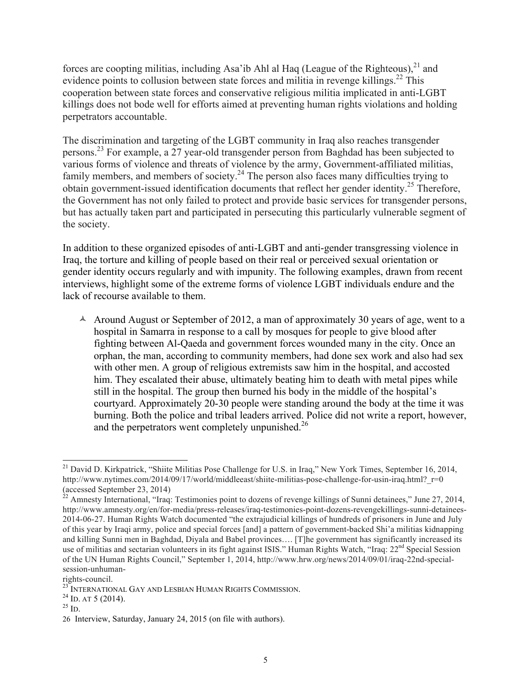forces are coopting militias, including Asa'ib Ahl al Haq (League of the Righteous), $^{21}$  and evidence points to collusion between state forces and militia in revenge killings.<sup>22</sup> This cooperation between state forces and conservative religious militia implicated in anti-LGBT killings does not bode well for efforts aimed at preventing human rights violations and holding perpetrators accountable.

The discrimination and targeting of the LGBT community in Iraq also reaches transgender persons.23 For example, a 27 year-old transgender person from Baghdad has been subjected to various forms of violence and threats of violence by the army, Government-affiliated militias, family members, and members of society.<sup>24</sup> The person also faces many difficulties trying to obtain government-issued identification documents that reflect her gender identity.<sup>25</sup> Therefore, the Government has not only failed to protect and provide basic services for transgender persons, but has actually taken part and participated in persecuting this particularly vulnerable segment of the society.

In addition to these organized episodes of anti-LGBT and anti-gender transgressing violence in Iraq, the torture and killing of people based on their real or perceived sexual orientation or gender identity occurs regularly and with impunity. The following examples, drawn from recent interviews, highlight some of the extreme forms of violence LGBT individuals endure and the lack of recourse available to them.

 $\uparrow$  Around August or September of 2012, a man of approximately 30 years of age, went to a hospital in Samarra in response to a call by mosques for people to give blood after fighting between Al-Qaeda and government forces wounded many in the city. Once an orphan, the man, according to community members, had done sex work and also had sex with other men. A group of religious extremists saw him in the hospital, and accosted him. They escalated their abuse, ultimately beating him to death with metal pipes while still in the hospital. The group then burned his body in the middle of the hospital's courtyard. Approximately 20-30 people were standing around the body at the time it was burning. Both the police and tribal leaders arrived. Police did not write a report, however, and the perpetrators went completely unpunished.<sup>26</sup>

<sup>&</sup>lt;sup>21</sup> David D. Kirkpatrick, "Shiite Militias Pose Challenge for U.S. in Iraq," New York Times, September 16, 2014, http://www.nytimes.com/2014/09/17/world/middleeast/shiite-militias-pose-challenge-for-usin-iraq.html? r=0 (accessed September 23, 2014)

 $^{22}$  Amnesty International, "Iraq: Testimonies point to dozens of revenge killings of Sunni detainees," June 27, 2014, http://www.amnesty.org/en/for-media/press-releases/iraq-testimonies-point-dozens-revengekillings-sunni-detainees-2014-06-27. Human Rights Watch documented "the extrajudicial killings of hundreds of prisoners in June and July of this year by Iraqi army, police and special forces [and] a pattern of government-backed Shi'a militias kidnapping and killing Sunni men in Baghdad, Diyala and Babel provinces…. [T]he government has significantly increased its use of militias and sectarian volunteers in its fight against ISIS." Human Rights Watch, "Iraq: 22<sup>nd</sup> Special Session of the UN Human Rights Council," September 1, 2014, http://www.hrw.org/news/2014/09/01/iraq-22nd-specialsession-unhuman-

rights-council.<br><sup>23</sup> INTERNATIONAL GAY AND LESBIAN HUMAN RIGHTS COMMISSION.<br><sup>24</sup> ID. AT 5 (2014).<br><sup>25</sup> ID.

<sup>26</sup> Interview, Saturday, January 24, 2015 (on file with authors).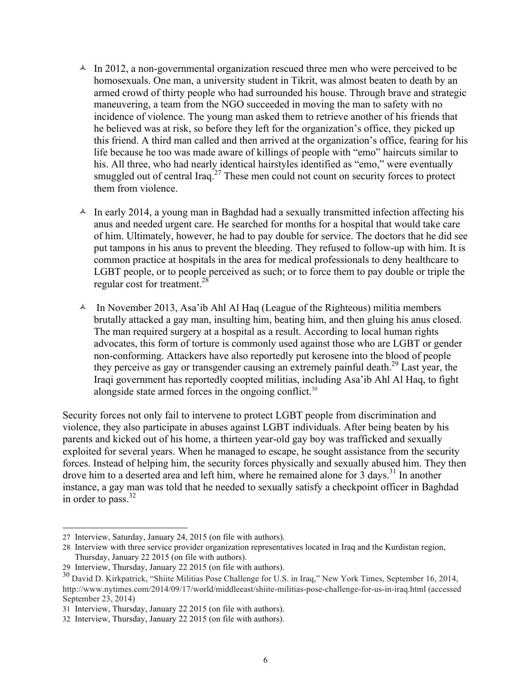- $\sim$  In 2012, a non-governmental organization rescued three men who were perceived to be homosexuals. One man, a university student in Tikrit, was almost beaten to death by an armed crowd of thirty people who had surrounded his house. Through brave and strategic maneuvering, a team from the NGO succeeded in moving the man to safety with no incidence of violence. The young man asked them to retrieve another of his friends that he believed was at risk, so before they left for the organization's office, they picked up this friend. A third man called and then arrived at the organization's office, fearing for his life because he too was made aware of killings of people with "emo" haircuts similar to his. All three, who had nearly identical hairstyles identified as "emo," were eventually smuggled out of central Iraq.<sup>27</sup> These men could not count on security forces to protect them from violence.
- $\uparrow$  In early 2014, a young man in Baghdad had a sexually transmitted infection affecting his anus and needed urgent care. He searched for months for a hospital that would take care of him. Ultimately, however, he had to pay double for service. The doctors that he did see put tampons in his anus to prevent the bleeding. They refused to follow-up with him. It is common practice at hospitals in the area for medical professionals to deny healthcare to LGBT people, or to people perceived as such; or to force them to pay double or triple the regular cost for treatment.<sup>28</sup>
- $\sim$  In November 2013, Asa'ib Ahl Al Haq (League of the Righteous) militia members brutally attacked a gay man, insulting him, beating him, and then gluing his anus closed. The man required surgery at a hospital as a result. According to local human rights advocates, this form of torture is commonly used against those who are LGBT or gender non-conforming. Attackers have also reportedly put kerosene into the blood of people they perceive as gay or transgender causing an extremely painful death.<sup>29</sup> Last year, the Iraqi government has reportedly coopted militias, including Asa'ib Ahl Al Haq, to fight alongside state armed forces in the ongoing conflict. $30$

Security forces not only fail to intervene to protect LGBT people from discrimination and violence, they also participate in abuses against LGBT individuals. After being beaten by his parents and kicked out of his home, a thirteen year-old gay boy was trafficked and sexually exploited for several years. When he managed to escape, he sought assistance from the security forces. Instead of helping him, the security forces physically and sexually abused him. They then drove him to a deserted area and left him, where he remained alone for 3 days.<sup>31</sup> In another instance, a gay man was told that he needed to sexually satisfy a checkpoint officer in Baghdad in order to pass. $32$ 

-

<sup>27</sup> Interview, Saturday, January 24, 2015 (on file with authors).

<sup>28</sup> Interview with three service provider organization representatives located in Iraq and the Kurdistan region, Thursday, January 22 2015 (on file with authors).

<sup>29</sup> Interview, Thursday, January 22 2015 (on file with authors).

<sup>30</sup> David D. Kirkpatrick, "Shiite Militias Pose Challenge for U.S. in Iraq," New York Times, September 16, 2014, http://www.nytimes.com/2014/09/17/world/middleeast/shiite-militias-pose-challenge-for-us-in-iraq.html (accessed September 23, 2014)

<sup>31</sup> Interview, Thursday, January 22 2015 (on file with authors).

<sup>32</sup> Interview, Thursday, January 22 2015 (on file with authors).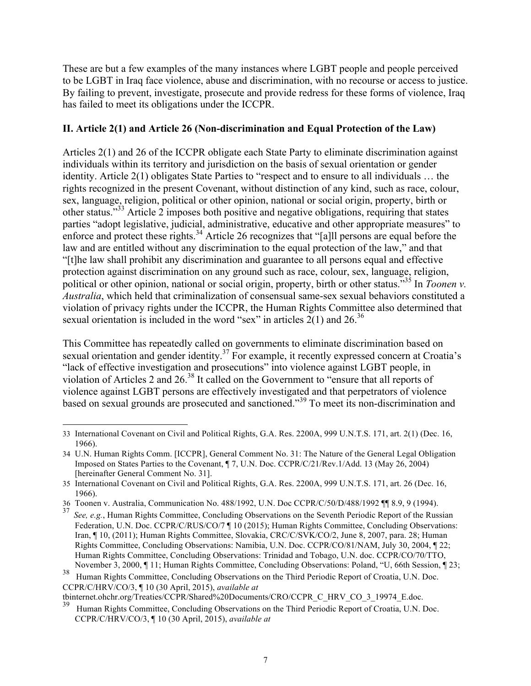These are but a few examples of the many instances where LGBT people and people perceived to be LGBT in Iraq face violence, abuse and discrimination, with no recourse or access to justice. By failing to prevent, investigate, prosecute and provide redress for these forms of violence, Iraq has failed to meet its obligations under the ICCPR.

# **II. Article 2(1) and Article 26 (Non-discrimination and Equal Protection of the Law)**

Articles 2(1) and 26 of the ICCPR obligate each State Party to eliminate discrimination against individuals within its territory and jurisdiction on the basis of sexual orientation or gender identity. Article 2(1) obligates State Parties to "respect and to ensure to all individuals … the rights recognized in the present Covenant, without distinction of any kind, such as race, colour, sex, language, religion, political or other opinion, national or social origin, property, birth or other status."<sup>33</sup> Article 2 imposes both positive and negative obligations, requiring that states parties "adopt legislative, judicial, administrative, educative and other appropriate measures" to enforce and protect these rights.<sup>34</sup> Article 26 recognizes that "[a]ll persons are equal before the law and are entitled without any discrimination to the equal protection of the law," and that "[t]he law shall prohibit any discrimination and guarantee to all persons equal and effective protection against discrimination on any ground such as race, colour, sex, language, religion, political or other opinion, national or social origin, property, birth or other status.<sup>35</sup> In *Toonen v. Australia*, which held that criminalization of consensual same-sex sexual behaviors constituted a violation of privacy rights under the ICCPR, the Human Rights Committee also determined that sexual orientation is included in the word "sex" in articles  $2(1)$  and  $26$ .<sup>36</sup>

This Committee has repeatedly called on governments to eliminate discrimination based on sexual orientation and gender identity.<sup>37</sup> For example, it recently expressed concern at Croatia's "lack of effective investigation and prosecutions" into violence against LGBT people, in violation of Articles 2 and 26.<sup>38</sup> It called on the Government to "ensure that all reports of violence against LGBT persons are effectively investigated and that perpetrators of violence based on sexual grounds are prosecuted and sanctioned."<sup>39</sup> To meet its non-discrimination and

<sup>1</sup> 33 International Covenant on Civil and Political Rights, G.A. Res. 2200A, 999 U.N.T.S. 171, art. 2(1) (Dec. 16, 1966).

<sup>34</sup> U.N. Human Rights Comm. [ICCPR], General Comment No. 31: The Nature of the General Legal Obligation Imposed on States Parties to the Covenant, ¶ 7, U.N. Doc. CCPR/C/21/Rev.1/Add. 13 (May 26, 2004) [hereinafter General Comment No. 31].

<sup>35</sup> International Covenant on Civil and Political Rights, G.A. Res. 2200A, 999 U.N.T.S. 171, art. 26 (Dec. 16, 1966).

<sup>36</sup> Toonen v. Australia, Communication No. 488/1992, U.N. Doc CCPR/C/50/D/488/1992 ¶¶ 8.9, 9 (1994).

<sup>&</sup>lt;sup>37</sup> See, e.g., Human Rights Committee, Concluding Observations on the Seventh Periodic Report of the Russian Federation, U.N. Doc. CCPR/C/RUS/CO/7 | 10 (2015); Human Rights Committee, Concluding Observations: Iran, ¶ 10, (2011); Human Rights Committee, Slovakia, CRC/C/SVK/CO/2, June 8, 2007, para. 28; Human Rights Committee, Concluding Observations: Namibia, U.N. Doc. CCPR/CO/81/NAM, July 30, 2004, ¶ 22; Human Rights Committee, Concluding Observations: Trinidad and Tobago, U.N. doc. CCPR/CO/70/TTO, November 3, 2000, ¶ 11; Human Rights Committee, Concluding Observations: Poland, "U, 66th Session, ¶ 23;

<sup>&</sup>lt;sup>38</sup> Human Rights Committee, Concluding Observations on the Third Periodic Report of Croatia, U.N. Doc. CCPR/C/HRV/CO/3, ¶ 10 (30 April, 2015), *available at* 

tbinternet.ohchr.org/Treaties/CCPR/Shared%20Documents/CRO/CCPR\_C\_HRV\_CO\_3\_19974\_E.doc. 39 Human Rights Committee, Concluding Observations on the Third Periodic Report of Croatia, U.N. Doc.

CCPR/C/HRV/CO/3, ¶ 10 (30 April, 2015), *available at*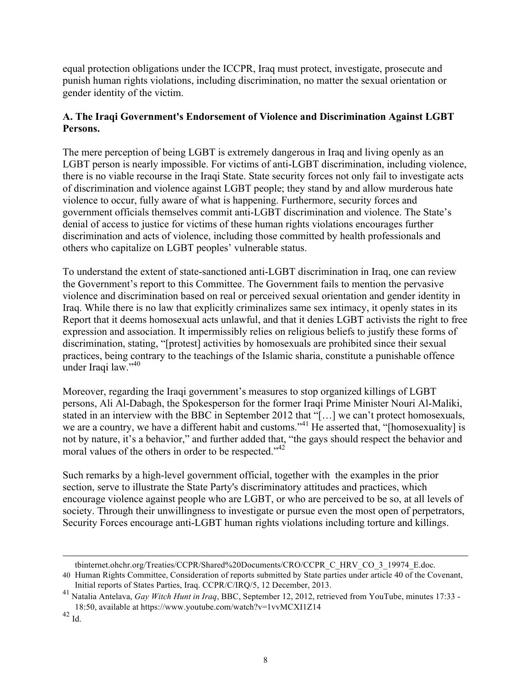equal protection obligations under the ICCPR, Iraq must protect, investigate, prosecute and punish human rights violations, including discrimination, no matter the sexual orientation or gender identity of the victim.

# **A. The Iraqi Government's Endorsement of Violence and Discrimination Against LGBT Persons.**

The mere perception of being LGBT is extremely dangerous in Iraq and living openly as an LGBT person is nearly impossible. For victims of anti-LGBT discrimination, including violence, there is no viable recourse in the Iraqi State. State security forces not only fail to investigate acts of discrimination and violence against LGBT people; they stand by and allow murderous hate violence to occur, fully aware of what is happening. Furthermore, security forces and government officials themselves commit anti-LGBT discrimination and violence. The State's denial of access to justice for victims of these human rights violations encourages further discrimination and acts of violence, including those committed by health professionals and others who capitalize on LGBT peoples' vulnerable status.

To understand the extent of state-sanctioned anti-LGBT discrimination in Iraq, one can review the Government's report to this Committee. The Government fails to mention the pervasive violence and discrimination based on real or perceived sexual orientation and gender identity in Iraq. While there is no law that explicitly criminalizes same sex intimacy, it openly states in its Report that it deems homosexual acts unlawful, and that it denies LGBT activists the right to free expression and association. It impermissibly relies on religious beliefs to justify these forms of discrimination, stating, "[protest] activities by homosexuals are prohibited since their sexual practices, being contrary to the teachings of the Islamic sharia, constitute a punishable offence under Iraqi law." $40$ 

Moreover, regarding the Iraqi government's measures to stop organized killings of LGBT persons, Ali Al-Dabagh, the Spokesperson for the former Iraqi Prime Minister Nouri Al-Maliki, stated in an interview with the BBC in September 2012 that "[…] we can't protect homosexuals, we are a country, we have a different habit and customs."<sup>41</sup> He asserted that, "[homosexuality] is not by nature, it's a behavior," and further added that, "the gays should respect the behavior and moral values of the others in order to be respected."<sup>42</sup>

Such remarks by a high-level government official, together with the examples in the prior section, serve to illustrate the State Party's discriminatory attitudes and practices, which encourage violence against people who are LGBT, or who are perceived to be so, at all levels of society. Through their unwillingness to investigate or pursue even the most open of perpetrators, Security Forces encourage anti-LGBT human rights violations including torture and killings.

1

tbinternet.ohchr.org/Treaties/CCPR/Shared%20Documents/CRO/CCPR\_C\_HRV\_CO\_3\_19974\_E.doc.

<sup>40</sup> Human Rights Committee, Consideration of reports submitted by State parties under article 40 of the Covenant, Initial reports of States Parties, Iraq. CCPR/C/IRQ/5, 12 December, 2013.

<sup>41</sup> Natalia Antelava, *Gay Witch Hunt in Iraq*, BBC, September 12, 2012, retrieved from YouTube, minutes 17:33 - 18:50, available at https://www.youtube.com/watch?v=1vvMCXI1Z14

<sup>42</sup> Id.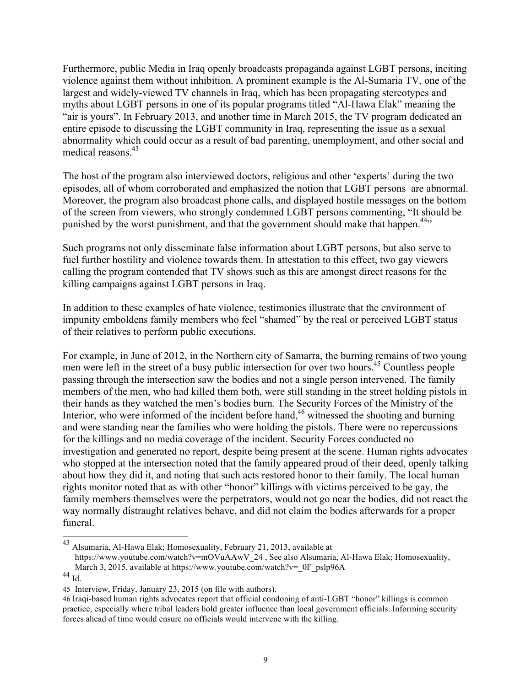Furthermore, public Media in Iraq openly broadcasts propaganda against LGBT persons, inciting violence against them without inhibition. A prominent example is the Al-Sumaria TV, one of the largest and widely-viewed TV channels in Iraq, which has been propagating stereotypes and myths about LGBT persons in one of its popular programs titled "Al-Hawa Elak" meaning the "air is yours". In February 2013, and another time in March 2015, the TV program dedicated an entire episode to discussing the LGBT community in Iraq, representing the issue as a sexual abnormality which could occur as a result of bad parenting, unemployment, and other social and medical reasons. 43

The host of the program also interviewed doctors, religious and other 'experts' during the two episodes, all of whom corroborated and emphasized the notion that LGBT persons are abnormal. Moreover, the program also broadcast phone calls, and displayed hostile messages on the bottom of the screen from viewers, who strongly condemned LGBT persons commenting, "It should be punished by the worst punishment, and that the government should make that happen.<sup>44</sup>"

Such programs not only disseminate false information about LGBT persons, but also serve to fuel further hostility and violence towards them. In attestation to this effect, two gay viewers calling the program contended that TV shows such as this are amongst direct reasons for the killing campaigns against LGBT persons in Iraq.

In addition to these examples of hate violence, testimonies illustrate that the environment of impunity emboldens family members who feel "shamed" by the real or perceived LGBT status of their relatives to perform public executions.

For example, in June of 2012, in the Northern city of Samarra, the burning remains of two young men were left in the street of a busy public intersection for over two hours.<sup>45</sup> Countless people passing through the intersection saw the bodies and not a single person intervened. The family members of the men, who had killed them both, were still standing in the street holding pistols in their hands as they watched the men's bodies burn. The Security Forces of the Ministry of the Interior, who were informed of the incident before hand,<sup>46</sup> witnessed the shooting and burning and were standing near the families who were holding the pistols. There were no repercussions for the killings and no media coverage of the incident. Security Forces conducted no investigation and generated no report, despite being present at the scene. Human rights advocates who stopped at the intersection noted that the family appeared proud of their deed, openly talking about how they did it, and noting that such acts restored honor to their family. The local human rights monitor noted that as with other "honor" killings with victims perceived to be gay, the family members themselves were the perpetrators, would not go near the bodies, did not react the way normally distraught relatives behave, and did not claim the bodies afterwards for a proper funeral.

 <sup>43</sup> Alsumaria, Al-Hawa Elak; Homosexuality, February 21, 2013, available at https://www.youtube.com/watch?v=mOVuAAwV\_24, See also Alsumaria, Al-Hawa Elak; Homosexuality, March 3, 2015, available at https://www.youtube.com/watch?v= 0F\_pslp96A

<sup>44</sup> Id.

<sup>45</sup> Interview, Friday, January 23, 2015 (on file with authors).

<sup>46</sup> Iraqi-based human rights advocates report that official condoning of anti-LGBT "honor" killings is common practice, especially where tribal leaders hold greater influence than local government officials. Informing security forces ahead of time would ensure no officials would intervene with the killing.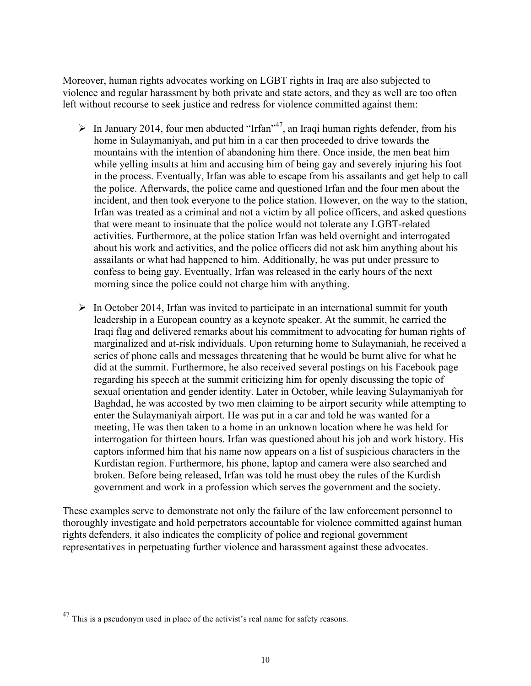Moreover, human rights advocates working on LGBT rights in Iraq are also subjected to violence and regular harassment by both private and state actors, and they as well are too often left without recourse to seek justice and redress for violence committed against them:

- $\triangleright$  In January 2014, four men abducted "Irfan"<sup>47</sup>, an Iraqi human rights defender, from his home in Sulaymaniyah, and put him in a car then proceeded to drive towards the mountains with the intention of abandoning him there. Once inside, the men beat him while yelling insults at him and accusing him of being gay and severely injuring his foot in the process. Eventually, Irfan was able to escape from his assailants and get help to call the police. Afterwards, the police came and questioned Irfan and the four men about the incident, and then took everyone to the police station. However, on the way to the station, Irfan was treated as a criminal and not a victim by all police officers, and asked questions that were meant to insinuate that the police would not tolerate any LGBT-related activities. Furthermore, at the police station Irfan was held overnight and interrogated about his work and activities, and the police officers did not ask him anything about his assailants or what had happened to him. Additionally, he was put under pressure to confess to being gay. Eventually, Irfan was released in the early hours of the next morning since the police could not charge him with anything.
- $\triangleright$  In October 2014, Irfan was invited to participate in an international summit for youth leadership in a European country as a keynote speaker. At the summit, he carried the Iraqi flag and delivered remarks about his commitment to advocating for human rights of marginalized and at-risk individuals. Upon returning home to Sulaymaniah, he received a series of phone calls and messages threatening that he would be burnt alive for what he did at the summit. Furthermore, he also received several postings on his Facebook page regarding his speech at the summit criticizing him for openly discussing the topic of sexual orientation and gender identity. Later in October, while leaving Sulaymaniyah for Baghdad, he was accosted by two men claiming to be airport security while attempting to enter the Sulaymaniyah airport. He was put in a car and told he was wanted for a meeting, He was then taken to a home in an unknown location where he was held for interrogation for thirteen hours. Irfan was questioned about his job and work history. His captors informed him that his name now appears on a list of suspicious characters in the Kurdistan region. Furthermore, his phone, laptop and camera were also searched and broken. Before being released, Irfan was told he must obey the rules of the Kurdish government and work in a profession which serves the government and the society.

These examples serve to demonstrate not only the failure of the law enforcement personnel to thoroughly investigate and hold perpetrators accountable for violence committed against human rights defenders, it also indicates the complicity of police and regional government representatives in perpetuating further violence and harassment against these advocates.

 <sup>47</sup> This is a pseudonym used in place of the activist's real name for safety reasons.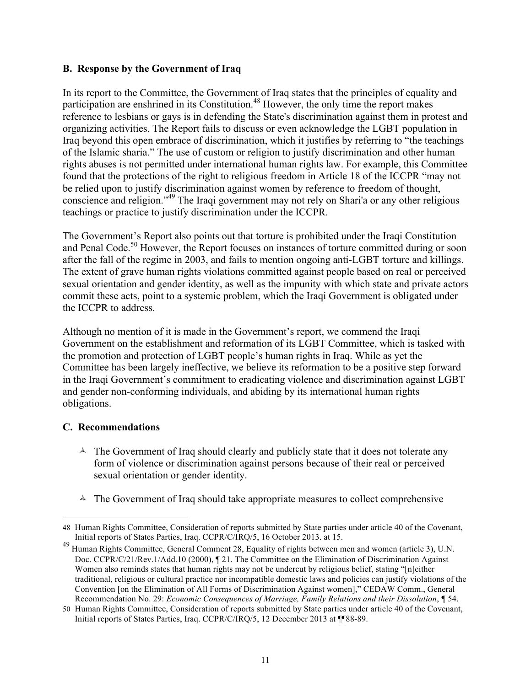# **B. Response by the Government of Iraq**

In its report to the Committee, the Government of Iraq states that the principles of equality and participation are enshrined in its Constitution.<sup>48</sup> However, the only time the report makes reference to lesbians or gays is in defending the State's discrimination against them in protest and organizing activities. The Report fails to discuss or even acknowledge the LGBT population in Iraq beyond this open embrace of discrimination, which it justifies by referring to "the teachings of the Islamic sharia." The use of custom or religion to justify discrimination and other human rights abuses is not permitted under international human rights law. For example, this Committee found that the protections of the right to religious freedom in Article 18 of the ICCPR "may not be relied upon to justify discrimination against women by reference to freedom of thought, conscience and religion."<sup>49</sup> The Iraqi government may not rely on Shari'a or any other religious teachings or practice to justify discrimination under the ICCPR.

The Government's Report also points out that torture is prohibited under the Iraqi Constitution and Penal Code.<sup>50</sup> However, the Report focuses on instances of torture committed during or soon after the fall of the regime in 2003, and fails to mention ongoing anti-LGBT torture and killings. The extent of grave human rights violations committed against people based on real or perceived sexual orientation and gender identity, as well as the impunity with which state and private actors commit these acts, point to a systemic problem, which the Iraqi Government is obligated under the ICCPR to address.

Although no mention of it is made in the Government's report, we commend the Iraqi Government on the establishment and reformation of its LGBT Committee, which is tasked with the promotion and protection of LGBT people's human rights in Iraq. While as yet the Committee has been largely ineffective, we believe its reformation to be a positive step forward in the Iraqi Government's commitment to eradicating violence and discrimination against LGBT and gender non-conforming individuals, and abiding by its international human rights obligations.

# **C. Recommendations**

- $\triangle$  The Government of Iraq should clearly and publicly state that it does not tolerate any form of violence or discrimination against persons because of their real or perceived sexual orientation or gender identity.
- $\uparrow$  The Government of Iraq should take appropriate measures to collect comprehensive

<sup>1</sup> 48 Human Rights Committee, Consideration of reports submitted by State parties under article 40 of the Covenant, Initial reports of States Parties, Iraq. CCPR/C/IRQ/5, 16 October 2013. at 15.

<sup>49</sup> Human Rights Committee, General Comment 28, Equality of rights between men and women (article 3), U.N. Doc. CCPR/C/21/Rev.1/Add.10 (2000), ¶ 21. The Committee on the Elimination of Discrimination Against Women also reminds states that human rights may not be undercut by religious belief, stating "[n]either traditional, religious or cultural practice nor incompatible domestic laws and policies can justify violations of the Convention [on the Elimination of All Forms of Discrimination Against women]," CEDAW Comm., General Recommendation No. 29: *Economic Consequences of Marriage, Family Relations and their Dissolution*, *¶* 54.

<sup>50</sup> Human Rights Committee, Consideration of reports submitted by State parties under article 40 of the Covenant, Initial reports of States Parties, Iraq. CCPR/C/IRQ/5, 12 December 2013 at ¶¶88-89.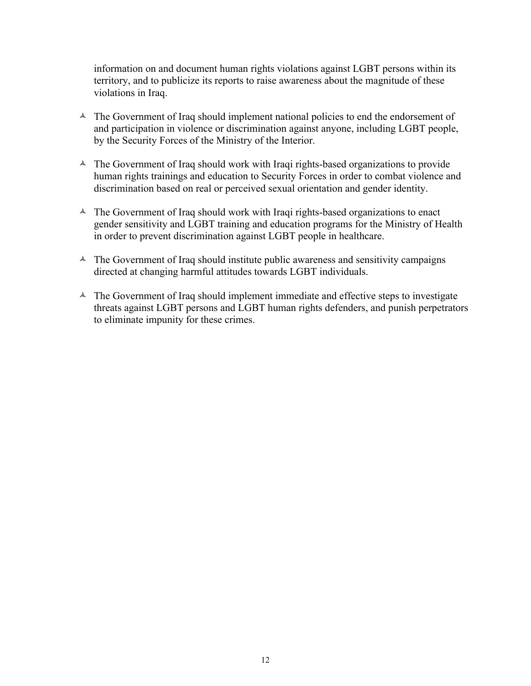information on and document human rights violations against LGBT persons within its territory, and to publicize its reports to raise awareness about the magnitude of these violations in Iraq.

- $\uparrow$  The Government of Iraq should implement national policies to end the endorsement of and participation in violence or discrimination against anyone, including LGBT people, by the Security Forces of the Ministry of the Interior.
- $\triangle$  The Government of Iraq should work with Iraqi rights-based organizations to provide human rights trainings and education to Security Forces in order to combat violence and discrimination based on real or perceived sexual orientation and gender identity.
- $\triangle$  The Government of Iraq should work with Iraqi rights-based organizations to enact gender sensitivity and LGBT training and education programs for the Ministry of Health in order to prevent discrimination against LGBT people in healthcare.
- $\triangle$  The Government of Iraq should institute public awareness and sensitivity campaigns directed at changing harmful attitudes towards LGBT individuals.
- $\uparrow$  The Government of Iraq should implement immediate and effective steps to investigate threats against LGBT persons and LGBT human rights defenders, and punish perpetrators to eliminate impunity for these crimes.